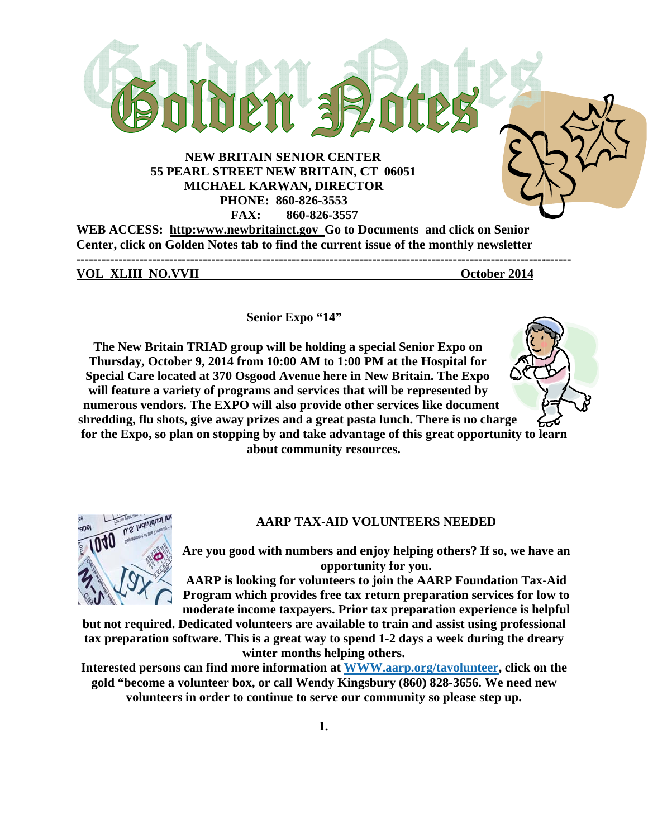

WEB ACCESS: http:www.newbritainct.gov Go to Documents and click on Senior Center, click on Golden Notes tab to find the current issue of the monthly newsletter 

**VOL XLIII NO.VVII** 

October 2014

Senior Expo "14"

The New Britain TRIAD group will be holding a special Senior Expo on Thursday, October 9, 2014 from 10:00 AM to 1:00 PM at the Hospital for Special Care located at 370 Osgood Avenue here in New Britain. The Expo will feature a variety of programs and services that will be represented by numerous vendors. The EXPO will also provide other services like document shredding, flu shots, give away prizes and a great pasta lunch. There is no charge for the Expo, so plan on stopping by and take advantage of this great opportunity to learn about community resources.





#### AARP TAX-AID VOLUNTEERS NEEDED

Are you good with numbers and enjoy helping others? If so, we have an opportunity for you.

AARP is looking for volunteers to join the AARP Foundation Tax-Aid Program which provides free tax return preparation services for low to moderate income taxpayers. Prior tax preparation experience is helpful

but not required. Dedicated volunteers are available to train and assist using professional tax preparation software. This is a great way to spend 1-2 days a week during the dreary winter months helping others.

Interested persons can find more information at WWW.aarp.org/tavolunteer, click on the gold "become a volunteer box, or call Wendy Kingsbury (860) 828-3656. We need new volunteers in order to continue to serve our community so please step up.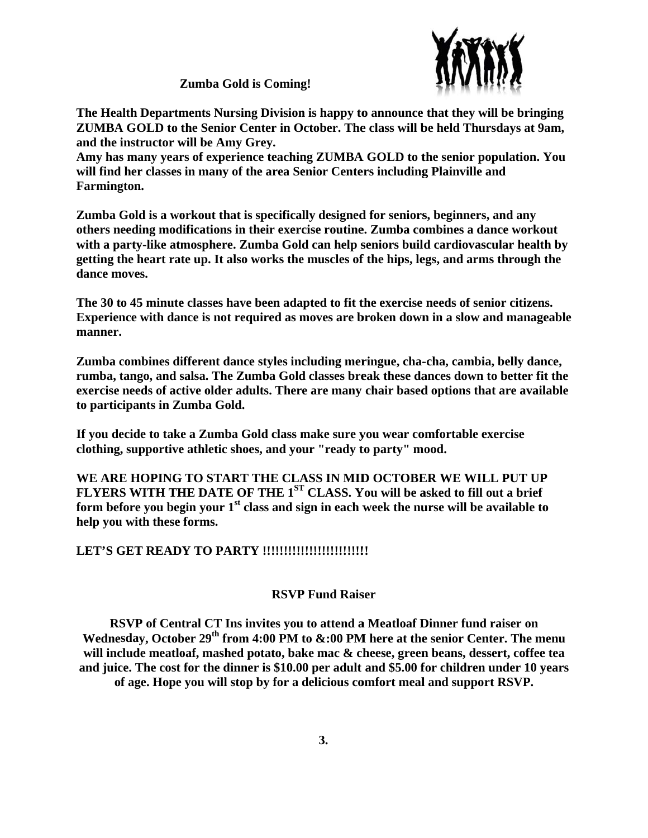

**Zumba Gold is Coming!** 

The Health Departments Nursing Division is happy to announce that they will be bringing ZUMBA GOLD to the Senior Center in October. The class will be held Thursdays at 9am, and the instructor will be Amy Grey.

Amy has many years of experience teaching ZUMBA GOLD to the senior population. You will find her classes in many of the area Senior Centers including Plainville and Farmington.

Zumba Gold is a workout that is specifically designed for seniors, beginners, and any others needing modifications in their exercise routine. Zumba combines a dance workout with a party-like atmosphere. Zumba Gold can help seniors build cardiovascular health by getting the heart rate up. It also works the muscles of the hips, legs, and arms through the dance moves.

The 30 to 45 minute classes have been adapted to fit the exercise needs of senior citizens. Experience with dance is not required as moves are broken down in a slow and manageable manner.

Zumba combines different dance styles including meringue, cha-cha, cambia, belly dance, rumba, tango, and salsa. The Zumba Gold classes break these dances down to better fit the exercise needs of active older adults. There are many chair based options that are available to participants in Zumba Gold.

If you decide to take a Zumba Gold class make sure you wear comfortable exercise clothing, supportive athletic shoes, and your "ready to party" mood.

WE ARE HOPING TO START THE CLASS IN MID OCTOBER WE WILL PUT UP FLYERS WITH THE DATE OF THE 1<sup>ST</sup> CLASS. You will be asked to fill out a brief form before you begin your 1<sup>st</sup> class and sign in each week the nurse will be available to help you with these forms.

LET'S GET READY TO PARTY !!!!!!!!!!!!!!!!!!!!!!!!!!

# **RSVP Fund Raiser**

RSVP of Central CT Ins invites you to attend a Meatloaf Dinner fund raiser on Wednesday, October 29<sup>th</sup> from 4:00 PM to &:00 PM here at the senior Center. The menu will include meatloaf, mashed potato, bake mac & cheese, green beans, dessert, coffee tea and juice. The cost for the dinner is \$10.00 per adult and \$5.00 for children under 10 years of age. Hope you will stop by for a delicious comfort meal and support RSVP.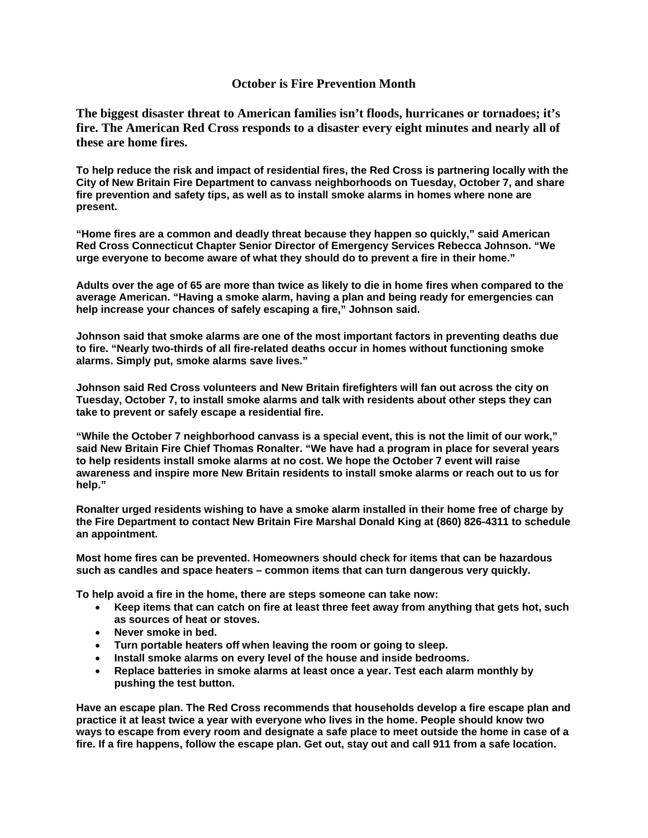## **October is Fire Prevention Month**

**The biggest disaster threat to American families isn't floods, hurricanes or tornadoes; it's fire. The American Red Cross responds to a disaster every eight minutes and nearly all of these are home fires.** 

**To help reduce the risk and impact of residential fires, the Red Cross is partnering locally with the City of New Britain Fire Department to canvass neighborhoods on Tuesday, October 7, and share fire prevention and safety tips, as well as to install smoke alarms in homes where none are present.** 

**"Home fires are a common and deadly threat because they happen so quickly," said American Red Cross Connecticut Chapter Senior Director of Emergency Services Rebecca Johnson. "We urge everyone to become aware of what they should do to prevent a fire in their home."** 

**Adults over the age of 65 are more than twice as likely to die in home fires when compared to the average American. "Having a smoke alarm, having a plan and being ready for emergencies can help increase your chances of safely escaping a fire," Johnson said.** 

**Johnson said that smoke alarms are one of the most important factors in preventing deaths due to fire. "Nearly two-thirds of all fire-related deaths occur in homes without functioning smoke alarms. Simply put, smoke alarms save lives."** 

**Johnson said Red Cross volunteers and New Britain firefighters will fan out across the city on Tuesday, October 7, to install smoke alarms and talk with residents about other steps they can take to prevent or safely escape a residential fire.** 

**"While the October 7 neighborhood canvass is a special event, this is not the limit of our work," said New Britain Fire Chief Thomas Ronalter. "We have had a program in place for several years to help residents install smoke alarms at no cost. We hope the October 7 event will raise awareness and inspire more New Britain residents to install smoke alarms or reach out to us for help."** 

**Ronalter urged residents wishing to have a smoke alarm installed in their home free of charge by the Fire Department to contact New Britain Fire Marshal Donald King at (860) 826-4311 to schedule an appointment.** 

**Most home fires can be prevented. Homeowners should check for items that can be hazardous such as candles and space heaters – common items that can turn dangerous very quickly.** 

**To help avoid a fire in the home, there are steps someone can take now:** 

- **Keep items that can catch on fire at least three feet away from anything that gets hot, such as sources of heat or stoves.**
- **Never smoke in bed.**
- **Turn portable heaters off when leaving the room or going to sleep.**
- **Install smoke alarms on every level of the house and inside bedrooms.**
- **Replace batteries in smoke alarms at least once a year. Test each alarm monthly by pushing the test button.**

**Have an escape plan. The Red Cross recommends that households develop a fire escape plan and practice it at least twice a year with everyone who lives in the home. People should know two ways to escape from every room and designate a safe place to meet outside the home in case of a fire. If a fire happens, follow the escape plan. Get out, stay out and call 911 from a safe location.**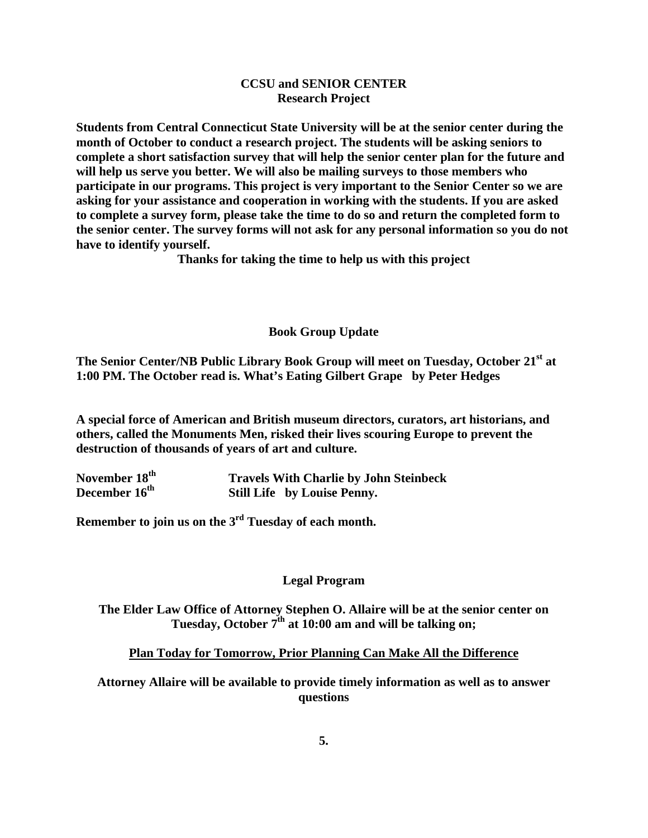# **CCSU and SENIOR CENTER Research Project**

**Students from Central Connecticut State University will be at the senior center during the month of October to conduct a research project. The students will be asking seniors to complete a short satisfaction survey that will help the senior center plan for the future and will help us serve you better. We will also be mailing surveys to those members who participate in our programs. This project is very important to the Senior Center so we are asking for your assistance and cooperation in working with the students. If you are asked to complete a survey form, please take the time to do so and return the completed form to the senior center. The survey forms will not ask for any personal information so you do not have to identify yourself.** 

**Thanks for taking the time to help us with this project** 

## **Book Group Update**

**The Senior Center/NB Public Library Book Group will meet on Tuesday, October 21st at 1:00 PM. The October read is. What's Eating Gilbert Grape by Peter Hedges** 

**A special force of American and British museum directors, curators, art historians, and others, called the Monuments Men, risked their lives scouring Europe to prevent the destruction of thousands of years of art and culture.** 

| November 18 <sup>th</sup> | <b>Travels With Charlie by John Steinbeck</b> |
|---------------------------|-----------------------------------------------|
| December 16 <sup>th</sup> | <b>Still Life</b> by Louise Penny.            |

**Remember to join us on the 3rd Tuesday of each month.** 

# **Legal Program**

**The Elder Law Office of Attorney Stephen O. Allaire will be at the senior center on**  Tuesday, October 7<sup>th</sup> at 10:00 am and will be talking on;

**Plan Today for Tomorrow, Prior Planning Can Make All the Difference** 

**Attorney Allaire will be available to provide timely information as well as to answer questions**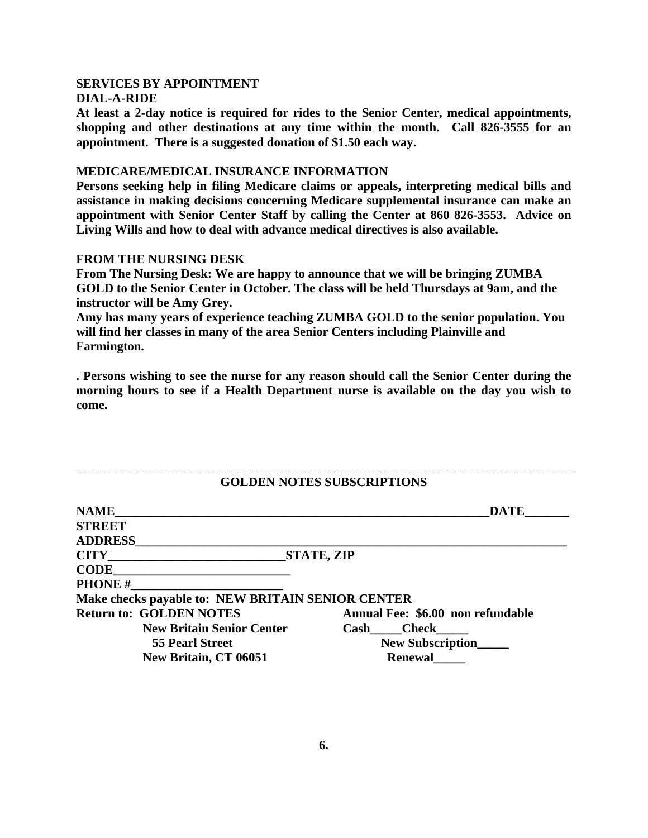#### **SERVICES BY APPOINTMENT DIAL-A-RIDE**

**At least a 2-day notice is required for rides to the Senior Center, medical appointments, shopping and other destinations at any time within the month. Call 826-3555 for an appointment. There is a suggested donation of \$1.50 each way.** 

#### **MEDICARE/MEDICAL INSURANCE INFORMATION**

**Persons seeking help in filing Medicare claims or appeals, interpreting medical bills and assistance in making decisions concerning Medicare supplemental insurance can make an appointment with Senior Center Staff by calling the Center at 860 826-3553. Advice on Living Wills and how to deal with advance medical directives is also available.** 

## **FROM THE NURSING DESK**

\_\_\_\_\_\_\_\_\_\_\_\_\_\_\_\_\_\_\_\_\_\_\_\_\_\_

**From The Nursing Desk: We are happy to announce that we will be bringing ZUMBA GOLD to the Senior Center in October. The class will be held Thursdays at 9am, and the instructor will be Amy Grey.** 

**Amy has many years of experience teaching ZUMBA GOLD to the senior population. You will find her classes in many of the area Senior Centers including Plainville and Farmington.** 

**. Persons wishing to see the nurse for any reason should call the Senior Center during the morning hours to see if a Health Department nurse is available on the day you wish to come.** 

# **GOLDEN NOTES SUBSCRIPTIONS**

| <b>NAME</b>                                       | <b>DATE</b>                       |
|---------------------------------------------------|-----------------------------------|
| <b>STREET</b>                                     |                                   |
| <b>ADDRESS</b>                                    |                                   |
| <b>CITY</b>                                       | STATE, ZIP                        |
| <b>CODE</b>                                       |                                   |
| <b>PHONE#</b>                                     |                                   |
| Make checks payable to: NEW BRITAIN SENIOR CENTER |                                   |
| <b>Return to: GOLDEN NOTES</b>                    | Annual Fee: \$6.00 non refundable |
| <b>New Britain Senior Center</b>                  | Cash Check                        |
| <b>55 Pearl Street</b>                            | <b>New Subscription</b>           |
| New Britain, CT 06051                             | <b>Renewal</b>                    |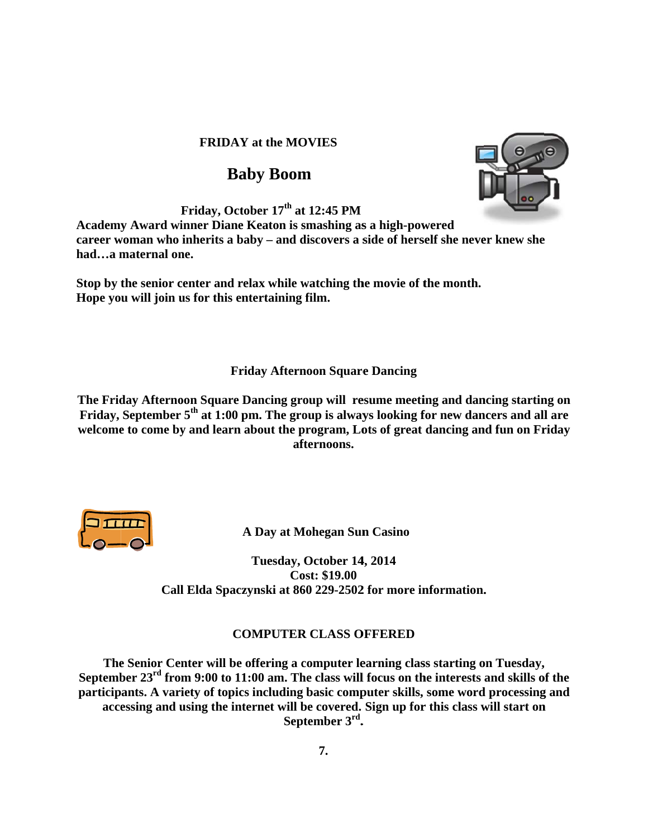# **FRIDAY** at the MOVIES

# **Ba aby Boom**

**F**riday, October 17<sup>th</sup> at 12:45 PM

Academy Award winner Diane Keaton is smashing as a high-powered **career woman who inherits a baby – and discovers a side of herself she never knew she** had...a maternal one.

Stop by the senior center and relax while watching the movie of the month. Hope you will join us for this entertaining film.

# **Friday Afternoon Square Dancing**

**The Friday Afternoon Square Dancing group will resume meeting and dancing startin Friday, September 5<sup>th</sup> at 1:00 pm. The group is always looking for new dancers and all are** welcome to come by and learn about the program, Lots of great dancing and fun on Friday **af fternoons. eng on** 



**A Day at Mohegan Sun Casino** 

Call Elda Spaczynski at 860 229-2502 for more information. **Tuesday, October 14 4, 2014 Co ost: \$19.00**

# **C OMPUTER R CLASS O OFFERED**

**Call Elda Spaczynski at 860 229-2502 for more information.<br>
<b>COMPUTER CLASS OFFERED**<br>
The Senior Center will be offering a computer learning class starting on Tuesday, September 23<sup>rd</sup> from 9:00 to 11:00 am. The class will focus on the interests and skills of the participants. A variety of topics including basic computer skills, some word processing and accessing and using the internet will be covered. Sign up for this class will start on **Sep ptember 3rd. .** 

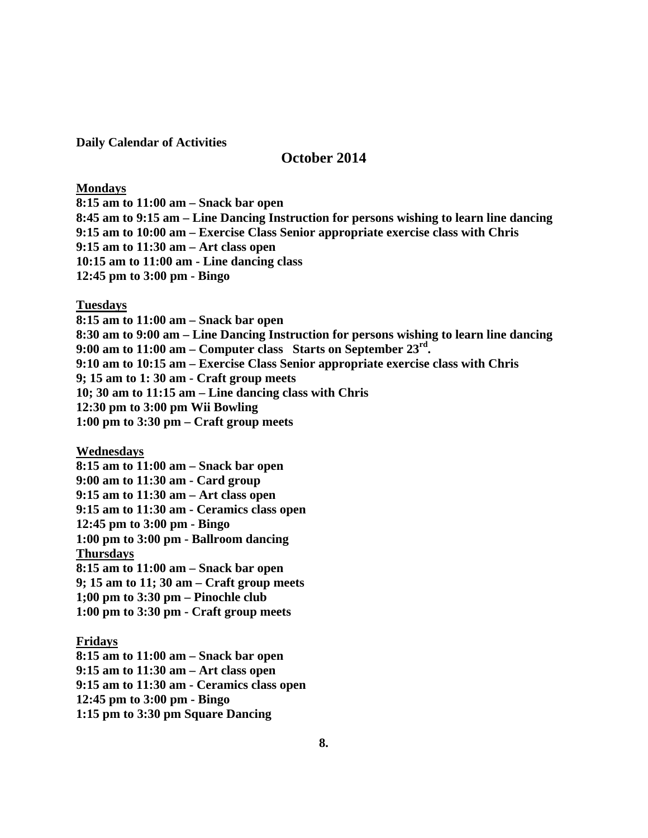**Daily Calendar of Activities** 

# **October 2014**

#### **Mondays**

**8:15 am to 11:00 am – Snack bar open 8:45 am to 9:15 am – Line Dancing Instruction for persons wishing to learn line dancing 9:15 am to 10:00 am – Exercise Class Senior appropriate exercise class with Chris 9:15 am to 11:30 am – Art class open 10:15 am to 11:00 am - Line dancing class 12:45 pm to 3:00 pm - Bingo** 

#### **Tuesdays**

**8:15 am to 11:00 am – Snack bar open 8:30 am to 9:00 am – Line Dancing Instruction for persons wishing to learn line dancing 9:00 am to 11:00 am – Computer class Starts on September 23rd. 9:10 am to 10:15 am – Exercise Class Senior appropriate exercise class with Chris 9; 15 am to 1: 30 am - Craft group meets 10; 30 am to 11:15 am – Line dancing class with Chris 12:30 pm to 3:00 pm Wii Bowling 1:00 pm to 3:30 pm – Craft group meets** 

**Wednesdays** 

**8:15 am to 11:00 am – Snack bar open 9:00 am to 11:30 am - Card group 9:15 am to 11:30 am – Art class open 9:15 am to 11:30 am - Ceramics class open 12:45 pm to 3:00 pm - Bingo 1:00 pm to 3:00 pm - Ballroom dancing Thursdays 8:15 am to 11:00 am – Snack bar open 9; 15 am to 11; 30 am – Craft group meets 1;00 pm to 3:30 pm – Pinochle club 1:00 pm to 3:30 pm - Craft group meets** 

# **Fridays**

**8:15 am to 11:00 am – Snack bar open 9:15 am to 11:30 am – Art class open 9:15 am to 11:30 am - Ceramics class open 12:45 pm to 3:00 pm - Bingo 1:15 pm to 3:30 pm Square Dancing**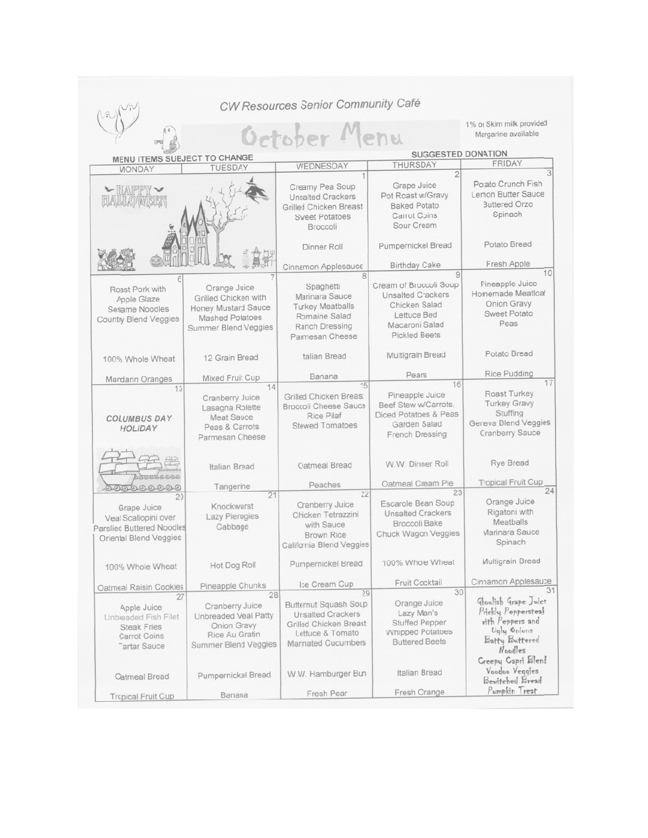|                                                                                                               |                                                                                                                      | CW Resources Senior Community Café                                                                                                         |                                                                                                                              |                                                                                                             |  |
|---------------------------------------------------------------------------------------------------------------|----------------------------------------------------------------------------------------------------------------------|--------------------------------------------------------------------------------------------------------------------------------------------|------------------------------------------------------------------------------------------------------------------------------|-------------------------------------------------------------------------------------------------------------|--|
|                                                                                                               | October Menu                                                                                                         | 1% or Skim milk provided<br>Margarine available                                                                                            |                                                                                                                              |                                                                                                             |  |
| MENU ITEMS SUBJECT TO CHANGE                                                                                  |                                                                                                                      |                                                                                                                                            | <b>SUGGESTED DONATION</b>                                                                                                    |                                                                                                             |  |
|                                                                                                               | <b>TUESDAY</b>                                                                                                       | WEDNESDAY                                                                                                                                  | <b>THURSDAY</b>                                                                                                              | <b>FRIDAY</b>                                                                                               |  |
| <b>MONDAY</b><br>L HAPPY<br>HAULLOWER                                                                         |                                                                                                                      | Creamy Pea Soup<br><b>Unsalted Crackers</b><br><b>Grilled Chicken Breast</b><br><b>Sweet Potatoes</b><br>Broccoli                          | $\overline{2}$<br>Grape Juice<br>Pot Roast w/Gravy<br><b>Baked Potato</b><br>Carrot Coins<br>Sour Cream                      | Potato Crunch Fish<br>Lemon Butter Sauce<br><b>Buttered Orzo</b><br>Spinach                                 |  |
|                                                                                                               |                                                                                                                      | Dinner Roll                                                                                                                                | Pumpernickel Bread                                                                                                           | Potato Bread                                                                                                |  |
|                                                                                                               |                                                                                                                      | Cinnamon Applesauce                                                                                                                        | <b>Birthday Cake</b>                                                                                                         | Fresh Apple                                                                                                 |  |
| Roast Pork with<br>Apple Glaze<br>Sesame Noodles<br><b>Country Blend Veggies</b>                              | Orange Juice<br>Grilled Chicken with<br><b>Honey Mustard Sauce</b><br><b>Mashed Polatoes</b><br>Summer Blend Veggies | 8<br>Spaghetti<br>Marinara Sauce<br><b>Turkey Meatballs</b><br>Romaine Salad<br><b>Ranch Dressing</b><br>Parmesan Cheese                   | Cream of Broccoli Soup<br><b>Unsalted Crackers</b><br>Chicken Salad<br>Lettuce Bed<br>Macaroni Salad<br><b>Pickled Beets</b> | 10<br>Pineapple Juice<br>Homemade Meatloaf<br>Onion Gravy<br><b>Sweet Potato</b><br>Peas                    |  |
| 100% Whole Wheat                                                                                              | 12 Grain Bread                                                                                                       | <b>Italian Bread</b>                                                                                                                       | Multigrain Bread                                                                                                             | Potato Bread                                                                                                |  |
| <b>Mandarin Oranges</b>                                                                                       | Mixed Fruit Cup                                                                                                      | Banana                                                                                                                                     | Pears                                                                                                                        | <b>Rice Pudding</b>                                                                                         |  |
| 13<br><b>COLUMBUS DAY</b><br>HOLIDAY                                                                          | 14<br>Cranberry Juice<br>Lasagna Rolette<br><b>Meat Sauce</b><br>Peas & Carrots<br>Parmesan Cheese                   | 15<br>Grilled Chicken Breast<br><b>Broccoli Cheese Sauce</b><br><b>Rice Pilaf</b><br><b>Stewed Tomatoes</b>                                | 16<br>Pineapple Juice<br>Beef Stew w/Carrots,<br>Diced Potatoes & Peas<br>Garden Salad<br>French Dressing                    | 17<br>Roast Turkey<br><b>Turkey Gravy</b><br>Stuffing<br>Geneva Blend Veggies<br><b>Cranberry Sauce</b>     |  |
| 0000000                                                                                                       | <b>Italian Bread</b><br>Tangerine                                                                                    | Oatmeal Bread<br>Peaches                                                                                                                   | W.W. Dinner Roll<br>Oatmeal Cream Pie                                                                                        | <b>Rye Bread</b><br><b>Tropical Fruit Cup</b>                                                               |  |
| 20                                                                                                            | 21                                                                                                                   | 22                                                                                                                                         | 23                                                                                                                           | 24                                                                                                          |  |
| Grape Juice<br>Veal Scallopini over<br>Parslied Buttered Noodles<br>Oriental Blend Veggies                    | Knockwurst<br><b>Lazy Pierogies</b><br>Cabbage                                                                       | Cranberry Juice<br>Chicken Tetrazzini<br>with Sauce<br><b>Brown Rice</b><br>California Blend Veggies                                       | Escarole Bean Soup<br><b>Unsalted Crackers</b><br><b>Broccoli Bake</b><br>Chuck Wagon Veggies                                | Orange Juice<br>Rigatoni with<br>Meatballs<br>Marinara Sauce<br>Spinach                                     |  |
| 100% Whole Wheat                                                                                              | Hot Dog Roll                                                                                                         | Pumpernickel Bread                                                                                                                         | 100% Whole Wheat                                                                                                             | Multigrain Bread                                                                                            |  |
| Oatmeal Raisin Cookies                                                                                        | Pineapple Chunks                                                                                                     | Ice Cream Cup                                                                                                                              | Fruit Cocktail<br>30                                                                                                         | Cinnamon Applesauce<br>31                                                                                   |  |
| 27<br>Apple Juice<br>Unbreaded Fish Filet<br><b>Steak Fries</b><br><b>Carrot Coins</b><br><b>Tartar Sauce</b> | 28<br>Cranberry Juice<br>Unbreaded Veal Patty<br>Onion Gravy<br>Rice Au Gratin<br>Summer Blend Veggies               | 29<br>Butternut Squash Soup<br><b>Unsalted Crackers</b><br><b>Grilled Chicken Breast</b><br>Lettuce & Tomato<br><b>Marinated Cucumbers</b> | Orange Juice<br>Lazy Man's<br><b>Stuffed Pepper</b><br><b>Whipped Potatoes</b><br><b>Buttered Beets</b>                      | Groulish Grape Juice<br>Prickly Peppersteak<br>with Peppers and<br>Ugly Onions<br>Batty Buttered<br>Noodles |  |
| Oatmeal Bread                                                                                                 | Pumpernickal Bread<br><b>Banana</b>                                                                                  | W.W. Hamburger Bun<br>Fresh Pear                                                                                                           | Italian Bread<br>Fresh Orange                                                                                                | Creepy Capri Blend<br>Voodoo Veggies<br>Bewitched Bread<br>Pumpkin Treat                                    |  |
| <b>Tropical Fruit Cup</b>                                                                                     |                                                                                                                      |                                                                                                                                            |                                                                                                                              |                                                                                                             |  |